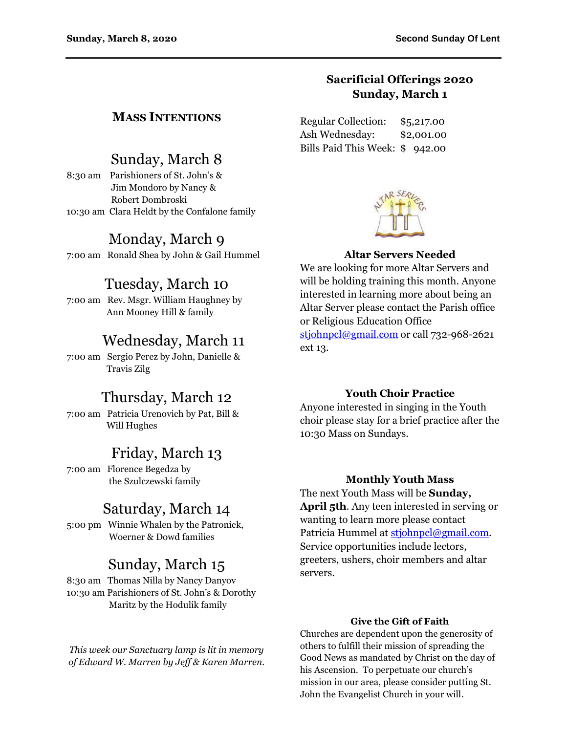### **Sacrificial Offerings 2020 Sunday, March 1**

Regular Collection: \$5,217.00 Ash Wednesday: \$2,001.00 Bills Paid This Week: \$ 942.00



### **Altar Servers Needed**

We are looking for more Altar Servers and will be holding training this month. Anyone interested in learning more about being an Altar Server please contact the Parish office or Religious Education Office [stjohnpcl@gmail.com](mailto:stjohnpcl@gmail.com) or call 732-968-2621 ext 13.

### **Youth Choir Practice**

Anyone interested in singing in the Youth choir please stay for a brief practice after the 10:30 Mass on Sundays.

#### **Monthly Youth Mass**

The next Youth Mass will be **Sunday, April 5th**. Any teen interested in serving or wanting to learn more please contact Patricia Hummel at [stjohnpcl@gmail.com.](mailto:stjohnpcl@gmail.com) Service opportunities include lectors, greeters, ushers, choir members and altar servers.

#### **Give the Gift of Faith**

Churches are dependent upon the generosity of others to fulfill their mission of spreading the Good News as mandated by Christ on the day of his Ascension. To perpetuate our church's mission in our area, please consider putting St. John the Evangelist Church in your will.

### **MASS INTENTIONS**

# Sunday, March 8

8:30 am Parishioners of St. John's & Jim Mondoro by Nancy & Robert Dombroski 10:30 am Clara Heldt by the Confalone family

# Monday, March 9

7:00 am Ronald Shea by John & Gail Hummel

### Tuesday, March 10

7:00 am Rev. Msgr. William Haughney by Ann Mooney Hill & family

## Wednesday, March 11

7:00 am Sergio Perez by John, Danielle & Travis Zilg

### Thursday, March 12

7:00 am Patricia Urenovich by Pat, Bill & Will Hughes

## Friday, March 13

7:00 am Florence Begedza by the Szulczewski family

# Saturday, March 14

5:00 pm Winnie Whalen by the Patronick, Woerner & Dowd families

## Sunday, March 15

8:30 am Thomas Nilla by Nancy Danyov 10:30 am Parishioners of St. John's & Dorothy Maritz by the Hodulik family

*This week our Sanctuary lamp is lit in memory of Edward W. Marren by Jeff & Karen Marren.*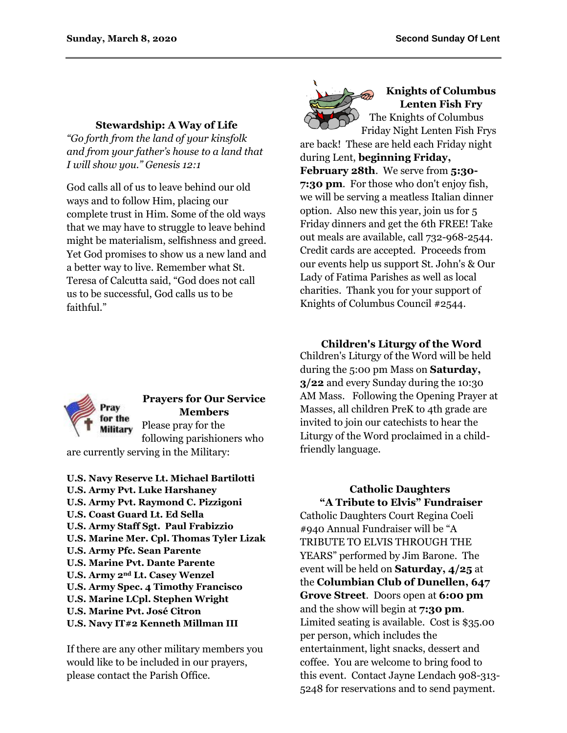#### **Stewardship: A Way of Life**

*"Go forth from the land of your kinsfolk and from your father's house to a land that I will show you." Genesis 12:1*

God calls all of us to leave behind our old ways and to follow Him, placing our complete trust in Him. Some of the old ways that we may have to struggle to leave behind might be materialism, selfishness and greed. Yet God promises to show us a new land and a better way to live. Remember what St. Teresa of Calcutta said, "God does not call us to be successful, God calls us to be faithful."



#### **Knights of Columbus Lenten Fish Fry** The Knights of Columbus

Friday Night Lenten Fish Frys are back! These are held each Friday night during Lent, **beginning Friday, February 28th**. We serve from **5:30- 7:30 pm**. For those who don't enjoy fish, we will be serving a meatless Italian dinner option. Also new this year, join us for 5 Friday dinners and get the 6th FREE! Take out meals are available, call 732-968-2544. Credit cards are accepted. Proceeds from our events help us support St. John's & Our Lady of Fatima Parishes as well as local charities. Thank you for your support of Knights of Columbus Council #2544.



### **Prayers for Our Service Members** Please pray for the

following parishioners who are currently serving in the Military:

**U.S. Navy Reserve Lt. Michael Bartilotti U.S. Army Pvt. Luke Harshaney U.S. Army Pvt. Raymond C. Pizzigoni U.S. Coast Guard Lt. Ed Sella U.S. Army Staff Sgt. Paul Frabizzio U.S. Marine Mer. Cpl. Thomas Tyler Lizak U.S. Army Pfc. Sean Parente U.S. Marine Pvt. Dante Parente U.S. Army 2nd Lt. Casey Wenzel U.S. Army Spec. 4 Timothy Francisco U.S. Marine LCpl. Stephen Wright U.S. Marine Pvt. José Citron U.S. Navy IT#2 Kenneth Millman III**

If there are any other military members you would like to be included in our prayers, please contact the Parish Office.

### **Children's Liturgy of the Word**

Children's Liturgy of the Word will be held during the 5:00 pm Mass on **Saturday, 3/22** and every Sunday during the 10:30 AM Mass. Following the Opening Prayer at Masses, all children PreK to 4th grade are invited to join our catechists to hear the Liturgy of the Word proclaimed in a childfriendly language.

#### **Catholic Daughters "A Tribute to Elvis" Fundraiser**

Catholic Daughters Court Regina Coeli #940 Annual Fundraiser will be "A TRIBUTE TO ELVIS THROUGH THE YEARS" performed by Jim Barone. The event will be held on **Saturday, 4/25** at the **Columbian Club of Dunellen, 647 Grove Street**. Doors open at **6:00 pm** and the show will begin at **7:30 pm**. Limited seating is available. Cost is \$35.00 per person, which includes the entertainment, light snacks, dessert and coffee. You are welcome to bring food to this event. Contact Jayne Lendach 908-313- 5248 for reservations and to send payment.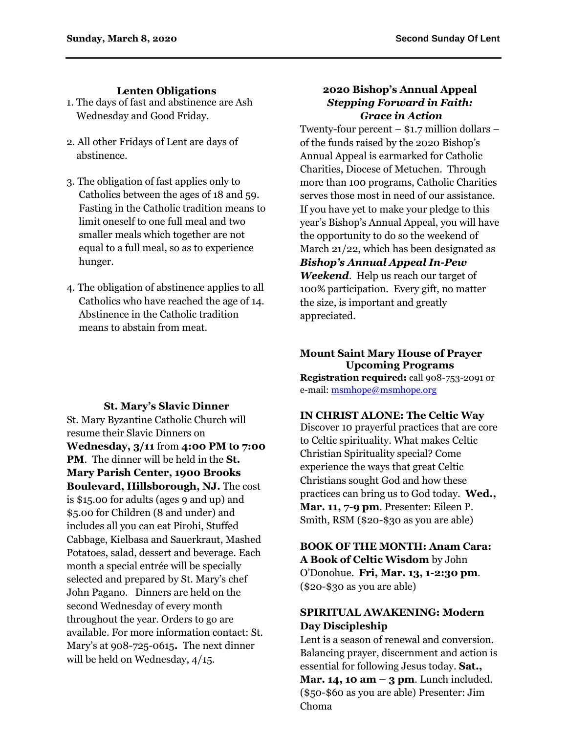### **Lenten Obligations**

- 1. The days of fast and abstinence are Ash Wednesday and Good Friday.
- 2. All other Fridays of Lent are days of abstinence.
- 3. The obligation of fast applies only to Catholics between the ages of 18 and 59. Fasting in the Catholic tradition means to limit oneself to one full meal and two smaller meals which together are not equal to a full meal, so as to experience hunger.
- 4. The obligation of abstinence applies to all Catholics who have reached the age of 14. Abstinence in the Catholic tradition means to abstain from meat.

#### **St. Mary's Slavic Dinner**

St. Mary Byzantine Catholic Church will resume their Slavic Dinners on **Wednesday, 3/11** from **4:00 PM to 7:00 PM**. The dinner will be held in the **St. Mary Parish Center, 1900 Brooks Boulevard, Hillsborough, NJ.** The cost is \$15.00 for adults (ages 9 and up) and \$5.00 for Children (8 and under) and includes all you can eat Pirohi, Stuffed Cabbage, Kielbasa and Sauerkraut, Mashed Potatoes, salad, dessert and beverage. Each month a special entrée will be specially selected and prepared by St. Mary's chef John Pagano. Dinners are held on the second Wednesday of every month throughout the year. Orders to go are available. For more information contact: St. Mary's at 908-725-0615**.** The next dinner will be held on Wednesday, 4/15.

#### **2020 Bishop's Annual Appeal** *Stepping Forward in Faith: Grace in Action*

Twenty-four percent – \$1.7 million dollars – of the funds raised by the 2020 Bishop's Annual Appeal is earmarked for Catholic Charities, Diocese of Metuchen. Through more than 100 programs, Catholic Charities serves those most in need of our assistance. If you have yet to make your pledge to this year's Bishop's Annual Appeal, you will have the opportunity to do so the weekend of March 21/22, which has been designated as *Bishop's Annual Appeal In-Pew Weekend*. Help us reach our target of 100% participation. Every gift, no matter the size, is important and greatly appreciated.

#### **Mount Saint Mary House of Prayer Upcoming Programs Registration required:** call 908-753-2091 or e-mail: [msmhope@msmhope.org](mailto:msmhope@msmhope.org)

#### **IN CHRIST ALONE: The Celtic Way**

Discover 10 prayerful practices that are core to Celtic spirituality. What makes Celtic Christian Spirituality special? Come experience the ways that great Celtic Christians sought God and how these practices can bring us to God today. **Wed., Mar. 11, 7-9 pm**. Presenter: Eileen P. Smith, RSM (\$20-\$30 as you are able)

**BOOK OF THE MONTH: Anam Cara: A Book of Celtic Wisdom** by John O'Donohue. **Fri, Mar. 13, 1-2:30 pm**. (\$20-\$30 as you are able)

### **SPIRITUAL AWAKENING: Modern Day Discipleship**

Lent is a season of renewal and conversion. Balancing prayer, discernment and action is essential for following Jesus today. **Sat., Mar. 14, 10 am – 3 pm**. Lunch included. (\$50-\$60 as you are able) Presenter: Jim

Choma